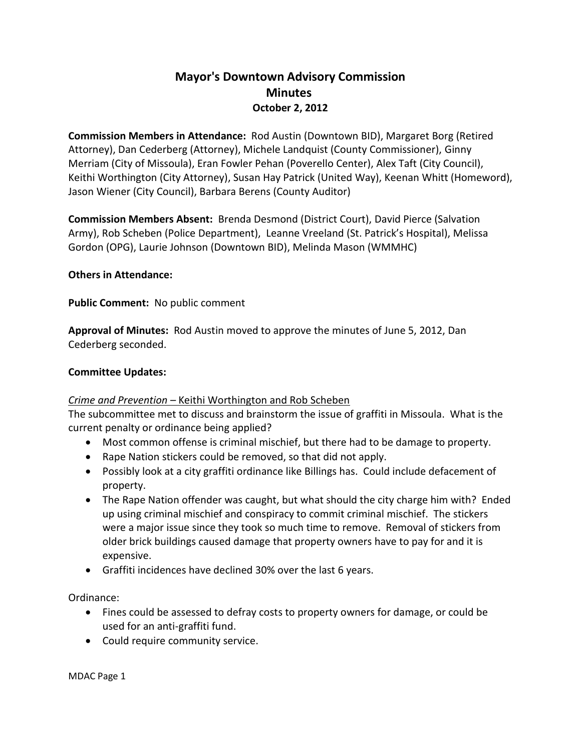# **Mayor's Downtown Advisory Commission Minutes October 2, 2012**

**Commission Members in Attendance:** Rod Austin (Downtown BID), Margaret Borg (Retired Attorney), Dan Cederberg (Attorney), Michele Landquist (County Commissioner), Ginny Merriam (City of Missoula), Eran Fowler Pehan (Poverello Center), Alex Taft (City Council), Keithi Worthington (City Attorney), Susan Hay Patrick (United Way), Keenan Whitt (Homeword), Jason Wiener (City Council), Barbara Berens (County Auditor)

**Commission Members Absent:** Brenda Desmond (District Court), David Pierce (Salvation Army), Rob Scheben (Police Department), Leanne Vreeland (St. Patrick's Hospital), Melissa Gordon (OPG), Laurie Johnson (Downtown BID), Melinda Mason (WMMHC)

### **Others in Attendance:**

**Public Comment:** No public comment

**Approval of Minutes:** Rod Austin moved to approve the minutes of June 5, 2012, Dan Cederberg seconded.

#### **Committee Updates:**

#### *Crime and Prevention –* Keithi Worthington and Rob Scheben

The subcommittee met to discuss and brainstorm the issue of graffiti in Missoula. What is the current penalty or ordinance being applied?

- Most common offense is criminal mischief, but there had to be damage to property.
- Rape Nation stickers could be removed, so that did not apply.
- Possibly look at a city graffiti ordinance like Billings has. Could include defacement of property.
- The Rape Nation offender was caught, but what should the city charge him with? Ended up using criminal mischief and conspiracy to commit criminal mischief. The stickers were a major issue since they took so much time to remove. Removal of stickers from older brick buildings caused damage that property owners have to pay for and it is expensive.
- Graffiti incidences have declined 30% over the last 6 years.

Ordinance:

- Fines could be assessed to defray costs to property owners for damage, or could be used for an anti-graffiti fund.
- Could require community service.

MDAC Page 1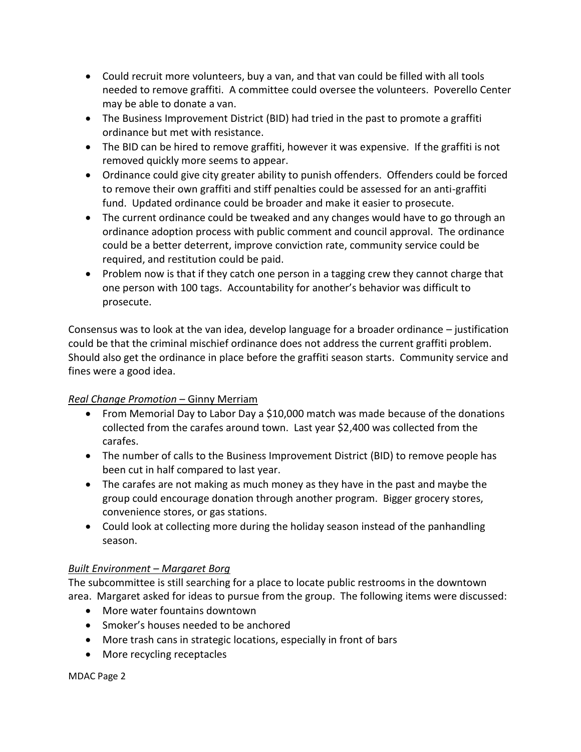- Could recruit more volunteers, buy a van, and that van could be filled with all tools needed to remove graffiti. A committee could oversee the volunteers. Poverello Center may be able to donate a van.
- The Business Improvement District (BID) had tried in the past to promote a graffiti ordinance but met with resistance.
- The BID can be hired to remove graffiti, however it was expensive. If the graffiti is not removed quickly more seems to appear.
- Ordinance could give city greater ability to punish offenders. Offenders could be forced to remove their own graffiti and stiff penalties could be assessed for an anti-graffiti fund. Updated ordinance could be broader and make it easier to prosecute.
- The current ordinance could be tweaked and any changes would have to go through an ordinance adoption process with public comment and council approval. The ordinance could be a better deterrent, improve conviction rate, community service could be required, and restitution could be paid.
- Problem now is that if they catch one person in a tagging crew they cannot charge that one person with 100 tags. Accountability for another's behavior was difficult to prosecute.

Consensus was to look at the van idea, develop language for a broader ordinance – justification could be that the criminal mischief ordinance does not address the current graffiti problem. Should also get the ordinance in place before the graffiti season starts. Community service and fines were a good idea.

# *Real Change Promotion* – Ginny Merriam

- From Memorial Day to Labor Day a \$10,000 match was made because of the donations collected from the carafes around town. Last year \$2,400 was collected from the carafes.
- The number of calls to the Business Improvement District (BID) to remove people has been cut in half compared to last year.
- The carafes are not making as much money as they have in the past and maybe the group could encourage donation through another program. Bigger grocery stores, convenience stores, or gas stations.
- Could look at collecting more during the holiday season instead of the panhandling season.

# *Built Environment – Margaret Borg*

The subcommittee is still searching for a place to locate public restrooms in the downtown area. Margaret asked for ideas to pursue from the group. The following items were discussed:

- More water fountains downtown
- Smoker's houses needed to be anchored
- More trash cans in strategic locations, especially in front of bars
- More recycling receptacles

MDAC Page 2